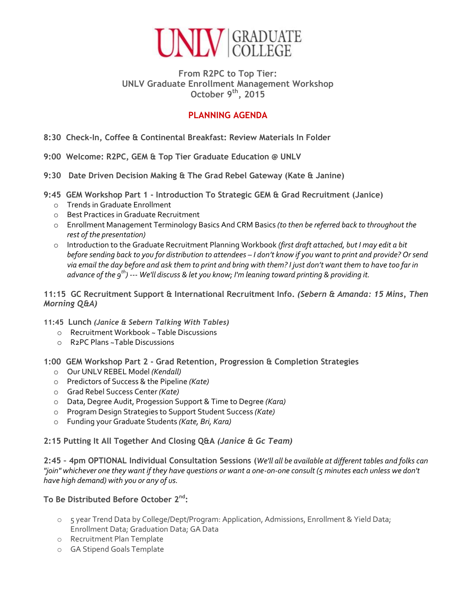

#### **From R2PC to Top Tier: UNLV Graduate Enrollment Management Workshop October 9th, 2015**

## **PLANNING AGENDA**

- **8:30 Check-In, Coffee & Continental Breakfast: Review Materials In Folder**
- **9:00 Welcome: R2PC, GEM & Top Tier Graduate Education @ UNLV**
- **9:30 Date Driven Decision Making & The Grad Rebel Gateway (Kate & Janine)**
- **9:45 GEM Workshop Part 1 - Introduction To Strategic GEM & Grad Recruitment (Janice)**
	- o Trends in Graduate Enrollment
	- o Best Practices in Graduate Recruitment
	- o Enrollment Management Terminology Basics And CRM Basics *(to then be referred back to throughout the rest of the presentation)*
	- o Introduction to the Graduate Recruitment Planning Workbook *(first draft attached, but I may edit a bit before sending back to you for distribution to attendees – I don't know if you want to print and provide? Or send via email the day before and ask them to print and bring with them? I just don't want them to have too far in advance of the 9th) --- We'll discuss & let you know; I'm leaning toward printing & providing it.*

**11:15 GC Recruitment Support & International Recruitment Info.** *(Sebern & Amanda: 15 Mins, Then Morning Q&A)*

- **11:45 Lunch** *(Janice & Sebern Talking With Tables)*
	- o Recruitment Workbook ~ Table Discussions
	- o R2PC Plans ~Table Discussions
- **1:00 GEM Workshop Part 2 - Grad Retention, Progression & Completion Strategies**
	- o Our UNLV REBEL Model *(Kendall)*
	- o Predictors of Success & the Pipeline *(Kate)*
	- o Grad Rebel Success Center *(Kate)*
	- o Data, Degree Audit, Progession Support & Time to Degree *(Kara)*
	- o Program Design Strategies to Support Student Success *(Kate)*
	- o Funding your Graduate Students *(Kate, Bri, Kara)*

#### **2:15 Putting It All Together And Closing Q&A** *(Janice & Gc Team)*

**2:45 – 4pm OPTIONAL Individual Consultation Sessions (***We'll all be available at different tables and folks can "join" whichever one they want if they have questions or want a one-on-one consult (5 minutes each unless we don't have high demand) with you or any of us.*

### **To Be Distributed Before October 2nd:**

- o 5 year Trend Data by College/Dept/Program: Application, Admissions, Enrollment & Yield Data; Enrollment Data; Graduation Data; GA Data
- o Recruitment Plan Template
- o GA Stipend Goals Template